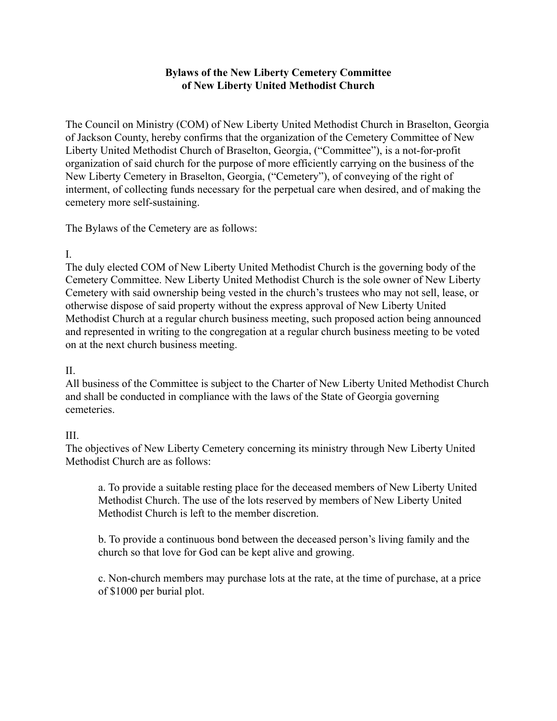### **Bylaws of the New Liberty Cemetery Committee of New Liberty United Methodist Church**

The Council on Ministry (COM) of New Liberty United Methodist Church in Braselton, Georgia of Jackson County, hereby confirms that the organization of the Cemetery Committee of New Liberty United Methodist Church of Braselton, Georgia, ("Committee"), is a not-for-profit organization of said church for the purpose of more efficiently carrying on the business of the New Liberty Cemetery in Braselton, Georgia, ("Cemetery"), of conveying of the right of interment, of collecting funds necessary for the perpetual care when desired, and of making the cemetery more self-sustaining.

The Bylaws of the Cemetery are as follows:

### I.

The duly elected COM of New Liberty United Methodist Church is the governing body of the Cemetery Committee. New Liberty United Methodist Church is the sole owner of New Liberty Cemetery with said ownership being vested in the church's trustees who may not sell, lease, or otherwise dispose of said property without the express approval of New Liberty United Methodist Church at a regular church business meeting, such proposed action being announced and represented in writing to the congregation at a regular church business meeting to be voted on at the next church business meeting.

#### $II$ .

All business of the Committee is subject to the Charter of New Liberty United Methodist Church and shall be conducted in compliance with the laws of the State of Georgia governing cemeteries.

### III.

The objectives of New Liberty Cemetery concerning its ministry through New Liberty United Methodist Church are as follows:

a. To provide a suitable resting place for the deceased members of New Liberty United Methodist Church. The use of the lots reserved by members of New Liberty United Methodist Church is left to the member discretion.

b. To provide a continuous bond between the deceased person's living family and the church so that love for God can be kept alive and growing.

c. Non-church members may purchase lots at the rate, at the time of purchase, at a price of \$1000 per burial plot.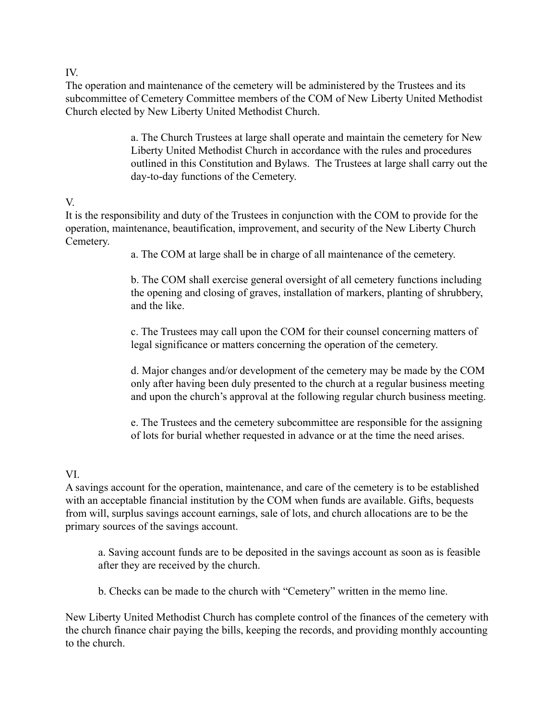IV.

The operation and maintenance of the cemetery will be administered by the Trustees and its subcommittee of Cemetery Committee members of the COM of New Liberty United Methodist Church elected by New Liberty United Methodist Church.

> a. The Church Trustees at large shall operate and maintain the cemetery for New Liberty United Methodist Church in accordance with the rules and procedures outlined in this Constitution and Bylaws. The Trustees at large shall carry out the day-to-day functions of the Cemetery.

# V.

It is the responsibility and duty of the Trustees in conjunction with the COM to provide for the operation, maintenance, beautification, improvement, and security of the New Liberty Church Cemetery.

a. The COM at large shall be in charge of all maintenance of the cemetery.

b. The COM shall exercise general oversight of all cemetery functions including the opening and closing of graves, installation of markers, planting of shrubbery, and the like.

c. The Trustees may call upon the COM for their counsel concerning matters of legal significance or matters concerning the operation of the cemetery.

d. Major changes and/or development of the cemetery may be made by the COM only after having been duly presented to the church at a regular business meeting and upon the church's approval at the following regular church business meeting.

e. The Trustees and the cemetery subcommittee are responsible for the assigning of lots for burial whether requested in advance or at the time the need arises.

# VI.

A savings account for the operation, maintenance, and care of the cemetery is to be established with an acceptable financial institution by the COM when funds are available. Gifts, bequests from will, surplus savings account earnings, sale of lots, and church allocations are to be the primary sources of the savings account.

a. Saving account funds are to be deposited in the savings account as soon as is feasible after they are received by the church.

b. Checks can be made to the church with "Cemetery" written in the memo line.

New Liberty United Methodist Church has complete control of the finances of the cemetery with the church finance chair paying the bills, keeping the records, and providing monthly accounting to the church.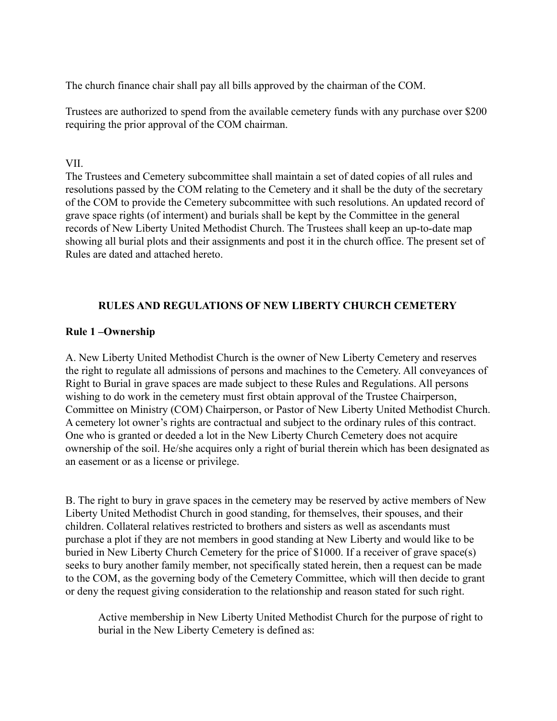The church finance chair shall pay all bills approved by the chairman of the COM.

Trustees are authorized to spend from the available cemetery funds with any purchase over \$200 requiring the prior approval of the COM chairman.

#### VII.

The Trustees and Cemetery subcommittee shall maintain a set of dated copies of all rules and resolutions passed by the COM relating to the Cemetery and it shall be the duty of the secretary of the COM to provide the Cemetery subcommittee with such resolutions. An updated record of grave space rights (of interment) and burials shall be kept by the Committee in the general records of New Liberty United Methodist Church. The Trustees shall keep an up-to-date map showing all burial plots and their assignments and post it in the church office. The present set of Rules are dated and attached hereto.

### **RULES AND REGULATIONS OF NEW LIBERTY CHURCH CEMETERY**

### **Rule 1 –Ownership**

A. New Liberty United Methodist Church is the owner of New Liberty Cemetery and reserves the right to regulate all admissions of persons and machines to the Cemetery. All conveyances of Right to Burial in grave spaces are made subject to these Rules and Regulations. All persons wishing to do work in the cemetery must first obtain approval of the Trustee Chairperson, Committee on Ministry (COM) Chairperson, or Pastor of New Liberty United Methodist Church. A cemetery lot owner's rights are contractual and subject to the ordinary rules of this contract. One who is granted or deeded a lot in the New Liberty Church Cemetery does not acquire ownership of the soil. He/she acquires only a right of burial therein which has been designated as an easement or as a license or privilege.

B. The right to bury in grave spaces in the cemetery may be reserved by active members of New Liberty United Methodist Church in good standing, for themselves, their spouses, and their children. Collateral relatives restricted to brothers and sisters as well as ascendants must purchase a plot if they are not members in good standing at New Liberty and would like to be buried in New Liberty Church Cemetery for the price of \$1000. If a receiver of grave space(s) seeks to bury another family member, not specifically stated herein, then a request can be made to the COM, as the governing body of the Cemetery Committee, which will then decide to grant or deny the request giving consideration to the relationship and reason stated for such right.

Active membership in New Liberty United Methodist Church for the purpose of right to burial in the New Liberty Cemetery is defined as: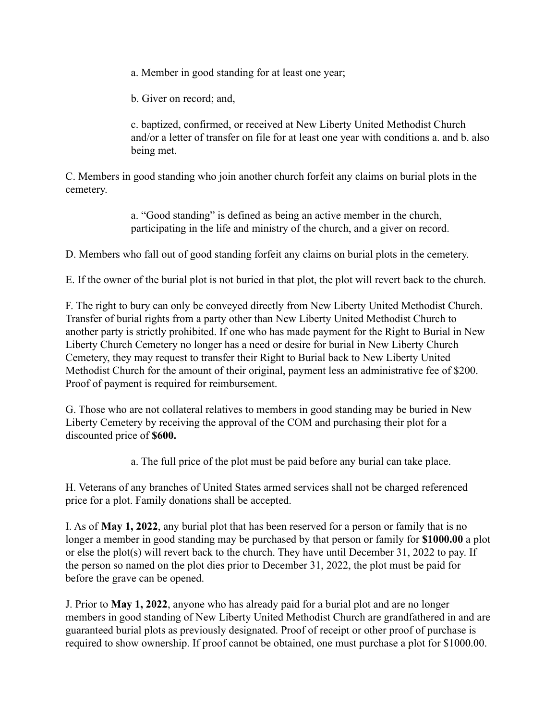a. Member in good standing for at least one year;

b. Giver on record; and,

c. baptized, confirmed, or received at New Liberty United Methodist Church and/or a letter of transfer on file for at least one year with conditions a. and b. also being met.

C. Members in good standing who join another church forfeit any claims on burial plots in the cemetery.

> a. "Good standing" is defined as being an active member in the church, participating in the life and ministry of the church, and a giver on record.

D. Members who fall out of good standing forfeit any claims on burial plots in the cemetery.

E. If the owner of the burial plot is not buried in that plot, the plot will revert back to the church.

F. The right to bury can only be conveyed directly from New Liberty United Methodist Church. Transfer of burial rights from a party other than New Liberty United Methodist Church to another party is strictly prohibited. If one who has made payment for the Right to Burial in New Liberty Church Cemetery no longer has a need or desire for burial in New Liberty Church Cemetery, they may request to transfer their Right to Burial back to New Liberty United Methodist Church for the amount of their original, payment less an administrative fee of \$200. Proof of payment is required for reimbursement.

G. Those who are not collateral relatives to members in good standing may be buried in New Liberty Cemetery by receiving the approval of the COM and purchasing their plot for a discounted price of **\$600.**

a. The full price of the plot must be paid before any burial can take place.

H. Veterans of any branches of United States armed services shall not be charged referenced price for a plot. Family donations shall be accepted.

I. As of **May 1, 2022**, any burial plot that has been reserved for a person or family that is no longer a member in good standing may be purchased by that person or family for **\$1000.00** a plot or else the plot(s) will revert back to the church. They have until December 31, 2022 to pay. If the person so named on the plot dies prior to December 31, 2022, the plot must be paid for before the grave can be opened.

J. Prior to **May 1, 2022**, anyone who has already paid for a burial plot and are no longer members in good standing of New Liberty United Methodist Church are grandfathered in and are guaranteed burial plots as previously designated. Proof of receipt or other proof of purchase is required to show ownership. If proof cannot be obtained, one must purchase a plot for \$1000.00.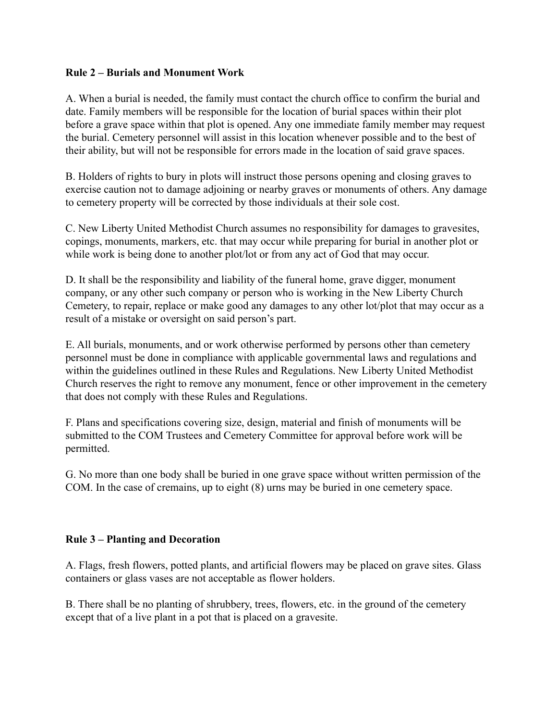### **Rule 2 – Burials and Monument Work**

A. When a burial is needed, the family must contact the church office to confirm the burial and date. Family members will be responsible for the location of burial spaces within their plot before a grave space within that plot is opened. Any one immediate family member may request the burial. Cemetery personnel will assist in this location whenever possible and to the best of their ability, but will not be responsible for errors made in the location of said grave spaces.

B. Holders of rights to bury in plots will instruct those persons opening and closing graves to exercise caution not to damage adjoining or nearby graves or monuments of others. Any damage to cemetery property will be corrected by those individuals at their sole cost.

C. New Liberty United Methodist Church assumes no responsibility for damages to gravesites, copings, monuments, markers, etc. that may occur while preparing for burial in another plot or while work is being done to another plot/lot or from any act of God that may occur.

D. It shall be the responsibility and liability of the funeral home, grave digger, monument company, or any other such company or person who is working in the New Liberty Church Cemetery, to repair, replace or make good any damages to any other lot/plot that may occur as a result of a mistake or oversight on said person's part.

E. All burials, monuments, and or work otherwise performed by persons other than cemetery personnel must be done in compliance with applicable governmental laws and regulations and within the guidelines outlined in these Rules and Regulations. New Liberty United Methodist Church reserves the right to remove any monument, fence or other improvement in the cemetery that does not comply with these Rules and Regulations.

F. Plans and specifications covering size, design, material and finish of monuments will be submitted to the COM Trustees and Cemetery Committee for approval before work will be permitted.

G. No more than one body shall be buried in one grave space without written permission of the COM. In the case of cremains, up to eight (8) urns may be buried in one cemetery space.

#### **Rule 3 – Planting and Decoration**

A. Flags, fresh flowers, potted plants, and artificial flowers may be placed on grave sites. Glass containers or glass vases are not acceptable as flower holders.

B. There shall be no planting of shrubbery, trees, flowers, etc. in the ground of the cemetery except that of a live plant in a pot that is placed on a gravesite.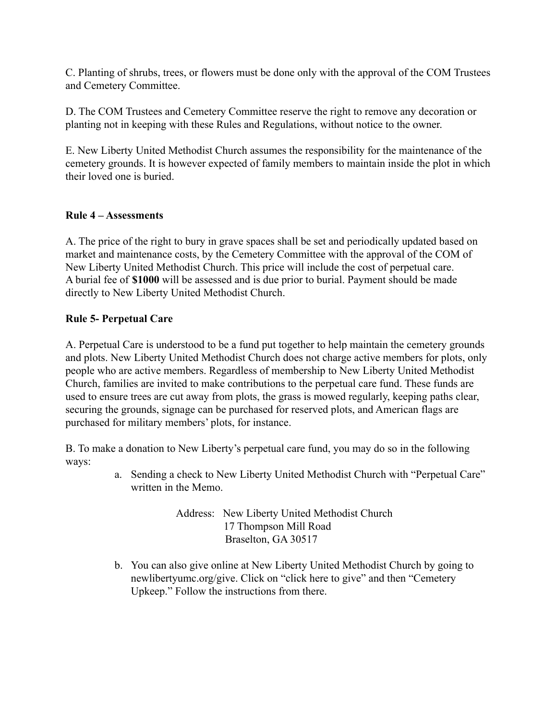C. Planting of shrubs, trees, or flowers must be done only with the approval of the COM Trustees and Cemetery Committee.

D. The COM Trustees and Cemetery Committee reserve the right to remove any decoration or planting not in keeping with these Rules and Regulations, without notice to the owner.

E. New Liberty United Methodist Church assumes the responsibility for the maintenance of the cemetery grounds. It is however expected of family members to maintain inside the plot in which their loved one is buried.

# **Rule 4 – Assessments**

A. The price of the right to bury in grave spaces shall be set and periodically updated based on market and maintenance costs, by the Cemetery Committee with the approval of the COM of New Liberty United Methodist Church. This price will include the cost of perpetual care. A burial fee of **\$1000** will be assessed and is due prior to burial. Payment should be made directly to New Liberty United Methodist Church.

# **Rule 5- Perpetual Care**

A. Perpetual Care is understood to be a fund put together to help maintain the cemetery grounds and plots. New Liberty United Methodist Church does not charge active members for plots, only people who are active members. Regardless of membership to New Liberty United Methodist Church, families are invited to make contributions to the perpetual care fund. These funds are used to ensure trees are cut away from plots, the grass is mowed regularly, keeping paths clear, securing the grounds, signage can be purchased for reserved plots, and American flags are purchased for military members' plots, for instance.

B. To make a donation to New Liberty's perpetual care fund, you may do so in the following ways:

> a. Sending a check to New Liberty United Methodist Church with "Perpetual Care" written in the Memo.

> > Address: New Liberty United Methodist Church 17 Thompson Mill Road Braselton, GA 30517

b. You can also give online at New Liberty United Methodist Church by going to newlibertyumc.org/give. Click on "click here to give" and then "Cemetery Upkeep." Follow the instructions from there.